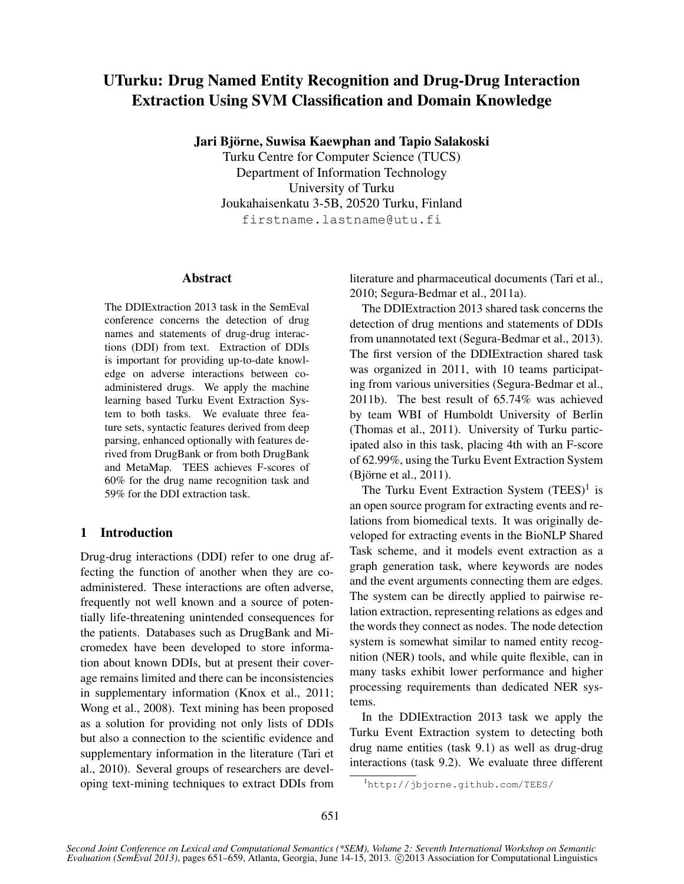# UTurku: Drug Named Entity Recognition and Drug-Drug Interaction Extraction Using SVM Classification and Domain Knowledge

Jari Björne, Suwisa Kaewphan and Tapio Salakoski

Turku Centre for Computer Science (TUCS) Department of Information Technology University of Turku Joukahaisenkatu 3-5B, 20520 Turku, Finland firstname.lastname@utu.fi

## Abstract

The DDIExtraction 2013 task in the SemEval conference concerns the detection of drug names and statements of drug-drug interactions (DDI) from text. Extraction of DDIs is important for providing up-to-date knowledge on adverse interactions between coadministered drugs. We apply the machine learning based Turku Event Extraction System to both tasks. We evaluate three feature sets, syntactic features derived from deep parsing, enhanced optionally with features derived from DrugBank or from both DrugBank and MetaMap. TEES achieves F-scores of 60% for the drug name recognition task and 59% for the DDI extraction task.

## 1 Introduction

Drug-drug interactions (DDI) refer to one drug affecting the function of another when they are coadministered. These interactions are often adverse, frequently not well known and a source of potentially life-threatening unintended consequences for the patients. Databases such as DrugBank and Micromedex have been developed to store information about known DDIs, but at present their coverage remains limited and there can be inconsistencies in supplementary information (Knox et al., 2011; Wong et al., 2008). Text mining has been proposed as a solution for providing not only lists of DDIs but also a connection to the scientific evidence and supplementary information in the literature (Tari et al., 2010). Several groups of researchers are developing text-mining techniques to extract DDIs from literature and pharmaceutical documents (Tari et al., 2010; Segura-Bedmar et al., 2011a).

The DDIExtraction 2013 shared task concerns the detection of drug mentions and statements of DDIs from unannotated text (Segura-Bedmar et al., 2013). The first version of the DDIExtraction shared task was organized in 2011, with 10 teams participating from various universities (Segura-Bedmar et al., 2011b). The best result of 65.74% was achieved by team WBI of Humboldt University of Berlin (Thomas et al., 2011). University of Turku participated also in this task, placing 4th with an F-score of 62.99%, using the Turku Event Extraction System  $(Bj\ddot{\text{or}}$ ne et al., 2011).

The Turku Event Extraction System  $(TEES)^1$  is an open source program for extracting events and relations from biomedical texts. It was originally developed for extracting events in the BioNLP Shared Task scheme, and it models event extraction as a graph generation task, where keywords are nodes and the event arguments connecting them are edges. The system can be directly applied to pairwise relation extraction, representing relations as edges and the words they connect as nodes. The node detection system is somewhat similar to named entity recognition (NER) tools, and while quite flexible, can in many tasks exhibit lower performance and higher processing requirements than dedicated NER systems.

In the DDIExtraction 2013 task we apply the Turku Event Extraction system to detecting both drug name entities (task 9.1) as well as drug-drug interactions (task 9.2). We evaluate three different

<sup>1</sup>http://jbjorne.github.com/TEES/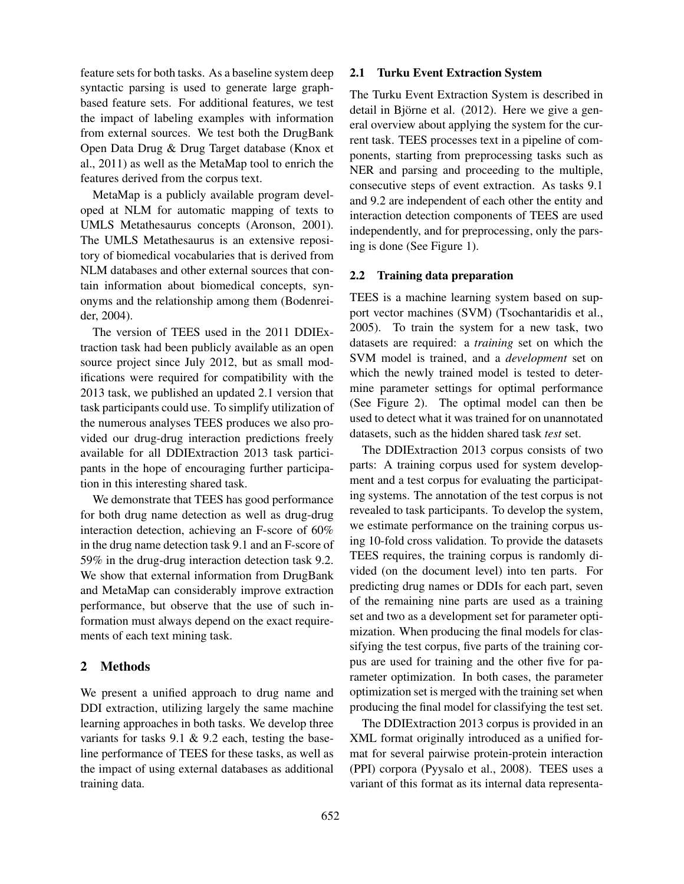feature sets for both tasks. As a baseline system deep syntactic parsing is used to generate large graphbased feature sets. For additional features, we test the impact of labeling examples with information from external sources. We test both the DrugBank Open Data Drug & Drug Target database (Knox et al., 2011) as well as the MetaMap tool to enrich the features derived from the corpus text.

MetaMap is a publicly available program developed at NLM for automatic mapping of texts to UMLS Metathesaurus concepts (Aronson, 2001). The UMLS Metathesaurus is an extensive repository of biomedical vocabularies that is derived from NLM databases and other external sources that contain information about biomedical concepts, synonyms and the relationship among them (Bodenreider, 2004).

The version of TEES used in the 2011 DDIExtraction task had been publicly available as an open source project since July 2012, but as small modifications were required for compatibility with the 2013 task, we published an updated 2.1 version that task participants could use. To simplify utilization of the numerous analyses TEES produces we also provided our drug-drug interaction predictions freely available for all DDIExtraction 2013 task participants in the hope of encouraging further participation in this interesting shared task.

We demonstrate that TEES has good performance for both drug name detection as well as drug-drug interaction detection, achieving an F-score of 60% in the drug name detection task 9.1 and an F-score of 59% in the drug-drug interaction detection task 9.2. We show that external information from DrugBank and MetaMap can considerably improve extraction performance, but observe that the use of such information must always depend on the exact requirements of each text mining task.

## 2 Methods

We present a unified approach to drug name and DDI extraction, utilizing largely the same machine learning approaches in both tasks. We develop three variants for tasks 9.1 & 9.2 each, testing the baseline performance of TEES for these tasks, as well as the impact of using external databases as additional training data.

## 2.1 Turku Event Extraction System

The Turku Event Extraction System is described in detail in Björne et al.  $(2012)$ . Here we give a general overview about applying the system for the current task. TEES processes text in a pipeline of components, starting from preprocessing tasks such as NER and parsing and proceeding to the multiple, consecutive steps of event extraction. As tasks 9.1 and 9.2 are independent of each other the entity and interaction detection components of TEES are used independently, and for preprocessing, only the parsing is done (See Figure 1).

#### 2.2 Training data preparation

TEES is a machine learning system based on support vector machines (SVM) (Tsochantaridis et al., 2005). To train the system for a new task, two datasets are required: a *training* set on which the SVM model is trained, and a *development* set on which the newly trained model is tested to determine parameter settings for optimal performance (See Figure 2). The optimal model can then be used to detect what it was trained for on unannotated datasets, such as the hidden shared task *test* set.

The DDIExtraction 2013 corpus consists of two parts: A training corpus used for system development and a test corpus for evaluating the participating systems. The annotation of the test corpus is not revealed to task participants. To develop the system, we estimate performance on the training corpus using 10-fold cross validation. To provide the datasets TEES requires, the training corpus is randomly divided (on the document level) into ten parts. For predicting drug names or DDIs for each part, seven of the remaining nine parts are used as a training set and two as a development set for parameter optimization. When producing the final models for classifying the test corpus, five parts of the training corpus are used for training and the other five for parameter optimization. In both cases, the parameter optimization set is merged with the training set when producing the final model for classifying the test set.

The DDIExtraction 2013 corpus is provided in an XML format originally introduced as a unified format for several pairwise protein-protein interaction (PPI) corpora (Pyysalo et al., 2008). TEES uses a variant of this format as its internal data representa-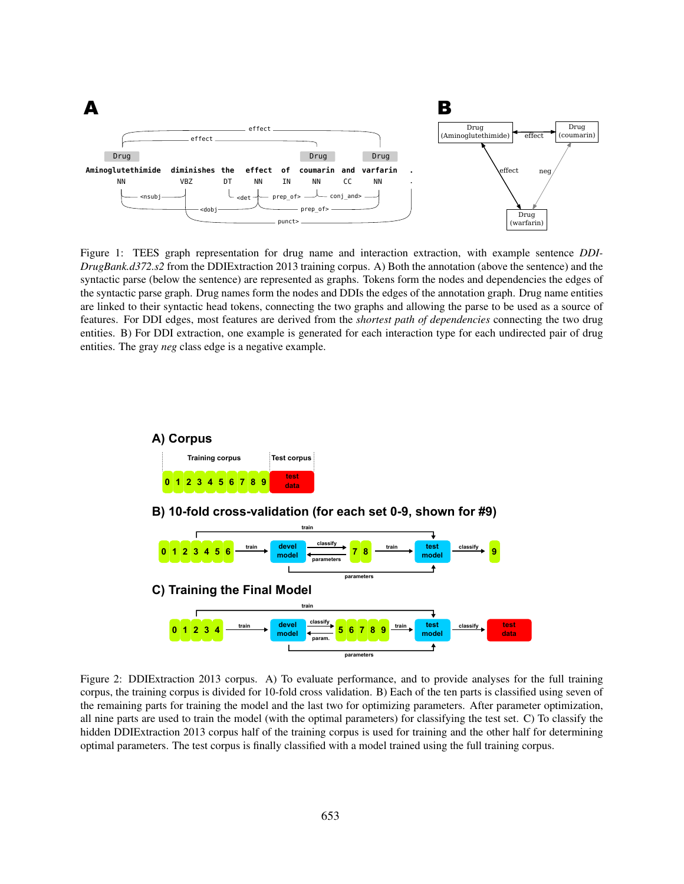

Figure 1: TEES graph representation for drug name and interaction extraction, with example sentence *DDI-DrugBank.d372.s2* from the DDIExtraction 2013 training corpus. A) Both the annotation (above the sentence) and the syntactic parse (below the sentence) are represented as graphs. Tokens form the nodes and dependencies the edges of the syntactic parse graph. Drug names form the nodes and DDIs the edges of the annotation graph. Drug name entities are linked to their syntactic head tokens, connecting the two graphs and allowing the parse to be used as a source of features. For DDI edges, most features are derived from the *shortest path of dependencies* connecting the two drug entities. B) For DDI extraction, one example is generated for each interaction type for each undirected pair of drug entities. The gray *neg* class edge is a negative example.



Figure 2: DDIExtraction 2013 corpus. A) To evaluate performance, and to provide analyses for the full training corpus, the training corpus is divided for 10-fold cross validation. B) Each of the ten parts is classified using seven of the remaining parts for training the model and the last two for optimizing parameters. After parameter optimization, all nine parts are used to train the model (with the optimal parameters) for classifying the test set. C) To classify the hidden DDIExtraction 2013 corpus half of the training corpus is used for training and the other half for determining optimal parameters. The test corpus is finally classified with a model trained using the full training corpus.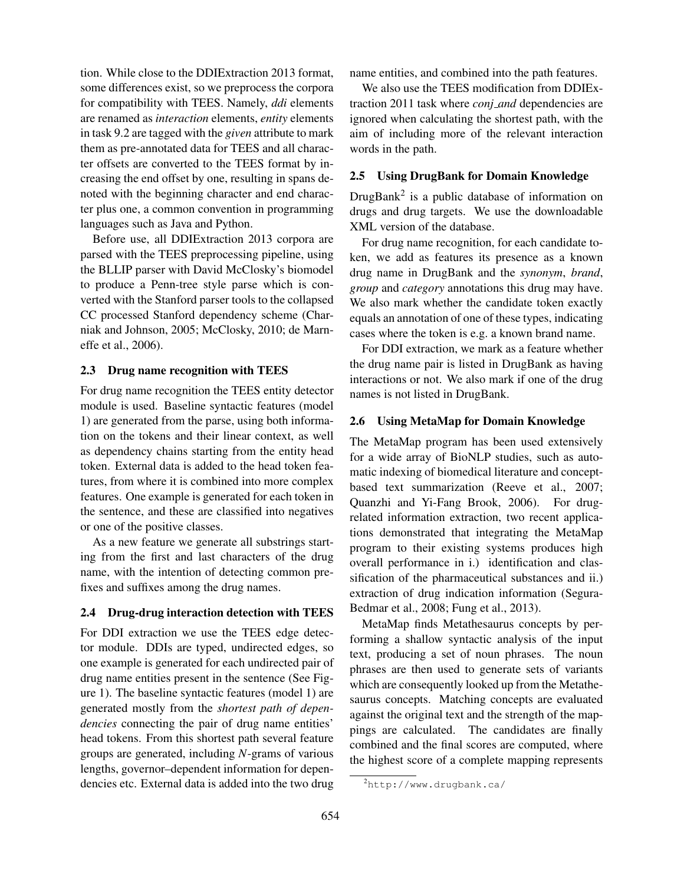tion. While close to the DDIExtraction 2013 format, some differences exist, so we preprocess the corpora for compatibility with TEES. Namely, *ddi* elements are renamed as *interaction* elements, *entity* elements in task 9.2 are tagged with the *given* attribute to mark them as pre-annotated data for TEES and all character offsets are converted to the TEES format by increasing the end offset by one, resulting in spans denoted with the beginning character and end character plus one, a common convention in programming languages such as Java and Python.

Before use, all DDIExtraction 2013 corpora are parsed with the TEES preprocessing pipeline, using the BLLIP parser with David McClosky's biomodel to produce a Penn-tree style parse which is converted with the Stanford parser tools to the collapsed CC processed Stanford dependency scheme (Charniak and Johnson, 2005; McClosky, 2010; de Marneffe et al., 2006).

#### 2.3 Drug name recognition with TEES

For drug name recognition the TEES entity detector module is used. Baseline syntactic features (model 1) are generated from the parse, using both information on the tokens and their linear context, as well as dependency chains starting from the entity head token. External data is added to the head token features, from where it is combined into more complex features. One example is generated for each token in the sentence, and these are classified into negatives or one of the positive classes.

As a new feature we generate all substrings starting from the first and last characters of the drug name, with the intention of detecting common prefixes and suffixes among the drug names.

#### 2.4 Drug-drug interaction detection with TEES

For DDI extraction we use the TEES edge detector module. DDIs are typed, undirected edges, so one example is generated for each undirected pair of drug name entities present in the sentence (See Figure 1). The baseline syntactic features (model 1) are generated mostly from the *shortest path of dependencies* connecting the pair of drug name entities' head tokens. From this shortest path several feature groups are generated, including *N*-grams of various lengths, governor–dependent information for dependencies etc. External data is added into the two drug

name entities, and combined into the path features.

We also use the TEES modification from DDIExtraction 2011 task where *conj and* dependencies are ignored when calculating the shortest path, with the aim of including more of the relevant interaction words in the path.

#### 2.5 Using DrugBank for Domain Knowledge

DrugBank<sup>2</sup> is a public database of information on drugs and drug targets. We use the downloadable XML version of the database.

For drug name recognition, for each candidate token, we add as features its presence as a known drug name in DrugBank and the *synonym*, *brand*, *group* and *category* annotations this drug may have. We also mark whether the candidate token exactly equals an annotation of one of these types, indicating cases where the token is e.g. a known brand name.

For DDI extraction, we mark as a feature whether the drug name pair is listed in DrugBank as having interactions or not. We also mark if one of the drug names is not listed in DrugBank.

#### 2.6 Using MetaMap for Domain Knowledge

The MetaMap program has been used extensively for a wide array of BioNLP studies, such as automatic indexing of biomedical literature and conceptbased text summarization (Reeve et al., 2007; Quanzhi and Yi-Fang Brook, 2006). For drugrelated information extraction, two recent applications demonstrated that integrating the MetaMap program to their existing systems produces high overall performance in i.) identification and classification of the pharmaceutical substances and ii.) extraction of drug indication information (Segura-Bedmar et al., 2008; Fung et al., 2013).

MetaMap finds Metathesaurus concepts by performing a shallow syntactic analysis of the input text, producing a set of noun phrases. The noun phrases are then used to generate sets of variants which are consequently looked up from the Metathesaurus concepts. Matching concepts are evaluated against the original text and the strength of the mappings are calculated. The candidates are finally combined and the final scores are computed, where the highest score of a complete mapping represents

 $^{2}$ http://www.drugbank.ca/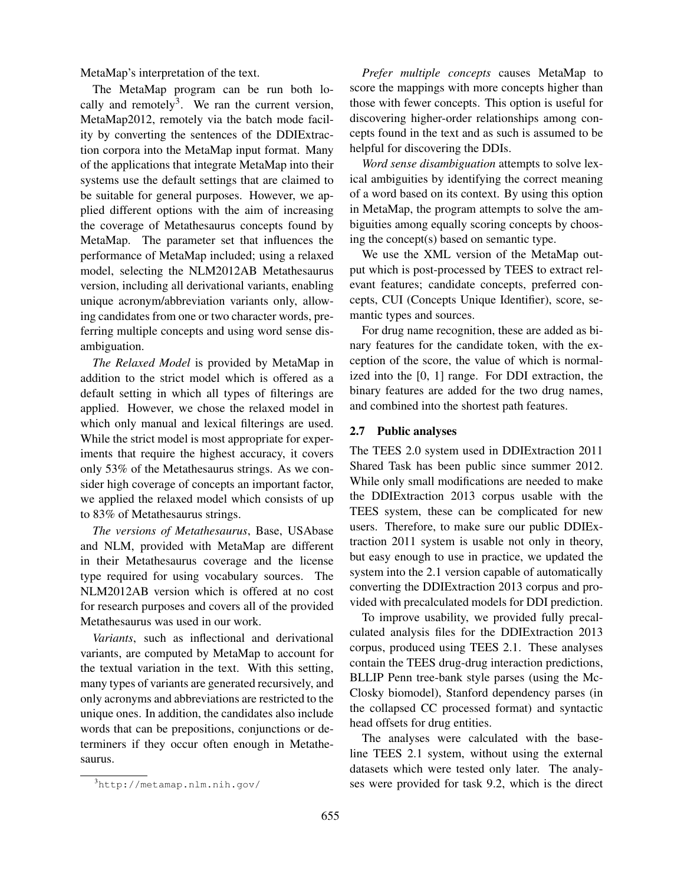MetaMap's interpretation of the text.

The MetaMap program can be run both locally and remotely<sup>3</sup>. We ran the current version, MetaMap2012, remotely via the batch mode facility by converting the sentences of the DDIExtraction corpora into the MetaMap input format. Many of the applications that integrate MetaMap into their systems use the default settings that are claimed to be suitable for general purposes. However, we applied different options with the aim of increasing the coverage of Metathesaurus concepts found by MetaMap. The parameter set that influences the performance of MetaMap included; using a relaxed model, selecting the NLM2012AB Metathesaurus version, including all derivational variants, enabling unique acronym/abbreviation variants only, allowing candidates from one or two character words, preferring multiple concepts and using word sense disambiguation.

*The Relaxed Model* is provided by MetaMap in addition to the strict model which is offered as a default setting in which all types of filterings are applied. However, we chose the relaxed model in which only manual and lexical filterings are used. While the strict model is most appropriate for experiments that require the highest accuracy, it covers only 53% of the Metathesaurus strings. As we consider high coverage of concepts an important factor, we applied the relaxed model which consists of up to 83% of Metathesaurus strings.

*The versions of Metathesaurus*, Base, USAbase and NLM, provided with MetaMap are different in their Metathesaurus coverage and the license type required for using vocabulary sources. The NLM2012AB version which is offered at no cost for research purposes and covers all of the provided Metathesaurus was used in our work.

*Variants*, such as inflectional and derivational variants, are computed by MetaMap to account for the textual variation in the text. With this setting, many types of variants are generated recursively, and only acronyms and abbreviations are restricted to the unique ones. In addition, the candidates also include words that can be prepositions, conjunctions or determiners if they occur often enough in Metathesaurus.

*Prefer multiple concepts* causes MetaMap to score the mappings with more concepts higher than those with fewer concepts. This option is useful for discovering higher-order relationships among concepts found in the text and as such is assumed to be helpful for discovering the DDIs.

*Word sense disambiguation* attempts to solve lexical ambiguities by identifying the correct meaning of a word based on its context. By using this option in MetaMap, the program attempts to solve the ambiguities among equally scoring concepts by choosing the concept(s) based on semantic type.

We use the XML version of the MetaMap output which is post-processed by TEES to extract relevant features; candidate concepts, preferred concepts, CUI (Concepts Unique Identifier), score, semantic types and sources.

For drug name recognition, these are added as binary features for the candidate token, with the exception of the score, the value of which is normalized into the [0, 1] range. For DDI extraction, the binary features are added for the two drug names, and combined into the shortest path features.

## 2.7 Public analyses

The TEES 2.0 system used in DDIExtraction 2011 Shared Task has been public since summer 2012. While only small modifications are needed to make the DDIExtraction 2013 corpus usable with the TEES system, these can be complicated for new users. Therefore, to make sure our public DDIExtraction 2011 system is usable not only in theory, but easy enough to use in practice, we updated the system into the 2.1 version capable of automatically converting the DDIExtraction 2013 corpus and provided with precalculated models for DDI prediction.

To improve usability, we provided fully precalculated analysis files for the DDIExtraction 2013 corpus, produced using TEES 2.1. These analyses contain the TEES drug-drug interaction predictions, BLLIP Penn tree-bank style parses (using the Mc-Closky biomodel), Stanford dependency parses (in the collapsed CC processed format) and syntactic head offsets for drug entities.

The analyses were calculated with the baseline TEES 2.1 system, without using the external datasets which were tested only later. The analyses were provided for task 9.2, which is the direct

 $3$ http://metamap.nlm.nih.gov/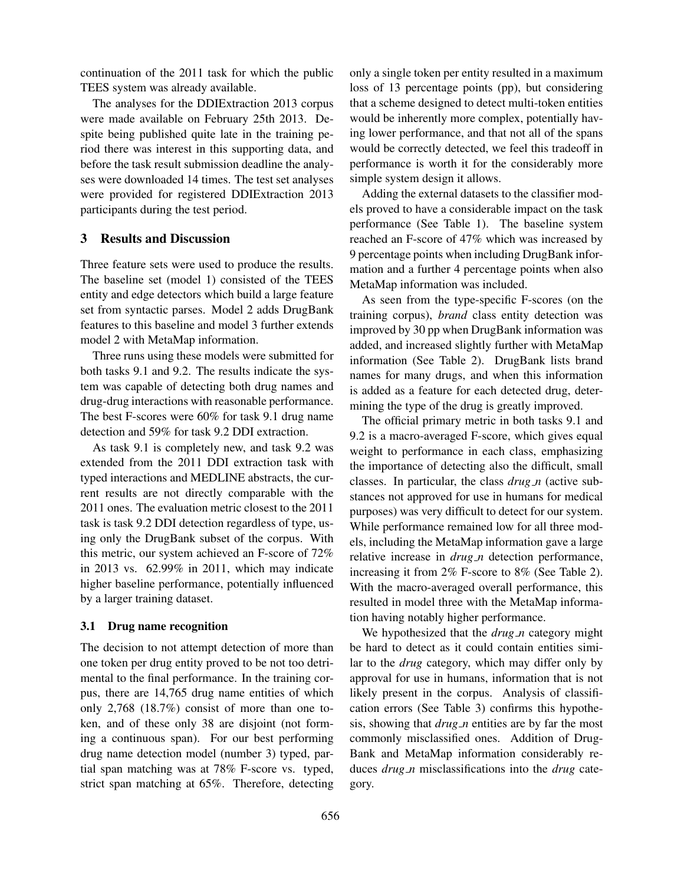continuation of the 2011 task for which the public TEES system was already available.

The analyses for the DDIExtraction 2013 corpus were made available on February 25th 2013. Despite being published quite late in the training period there was interest in this supporting data, and before the task result submission deadline the analyses were downloaded 14 times. The test set analyses were provided for registered DDIExtraction 2013 participants during the test period.

# 3 Results and Discussion

Three feature sets were used to produce the results. The baseline set (model 1) consisted of the TEES entity and edge detectors which build a large feature set from syntactic parses. Model 2 adds DrugBank features to this baseline and model 3 further extends model 2 with MetaMap information.

Three runs using these models were submitted for both tasks 9.1 and 9.2. The results indicate the system was capable of detecting both drug names and drug-drug interactions with reasonable performance. The best F-scores were 60% for task 9.1 drug name detection and 59% for task 9.2 DDI extraction.

As task 9.1 is completely new, and task 9.2 was extended from the 2011 DDI extraction task with typed interactions and MEDLINE abstracts, the current results are not directly comparable with the 2011 ones. The evaluation metric closest to the 2011 task is task 9.2 DDI detection regardless of type, using only the DrugBank subset of the corpus. With this metric, our system achieved an F-score of 72% in 2013 vs. 62.99% in 2011, which may indicate higher baseline performance, potentially influenced by a larger training dataset.

## 3.1 Drug name recognition

The decision to not attempt detection of more than one token per drug entity proved to be not too detrimental to the final performance. In the training corpus, there are 14,765 drug name entities of which only 2,768 (18.7%) consist of more than one token, and of these only 38 are disjoint (not forming a continuous span). For our best performing drug name detection model (number 3) typed, partial span matching was at 78% F-score vs. typed, strict span matching at 65%. Therefore, detecting only a single token per entity resulted in a maximum loss of 13 percentage points (pp), but considering that a scheme designed to detect multi-token entities would be inherently more complex, potentially having lower performance, and that not all of the spans would be correctly detected, we feel this tradeoff in performance is worth it for the considerably more simple system design it allows.

Adding the external datasets to the classifier models proved to have a considerable impact on the task performance (See Table 1). The baseline system reached an F-score of 47% which was increased by 9 percentage points when including DrugBank information and a further 4 percentage points when also MetaMap information was included.

As seen from the type-specific F-scores (on the training corpus), *brand* class entity detection was improved by 30 pp when DrugBank information was added, and increased slightly further with MetaMap information (See Table 2). DrugBank lists brand names for many drugs, and when this information is added as a feature for each detected drug, determining the type of the drug is greatly improved.

The official primary metric in both tasks 9.1 and 9.2 is a macro-averaged F-score, which gives equal weight to performance in each class, emphasizing the importance of detecting also the difficult, small classes. In particular, the class *drug n* (active substances not approved for use in humans for medical purposes) was very difficult to detect for our system. While performance remained low for all three models, including the MetaMap information gave a large relative increase in *drug n* detection performance, increasing it from 2% F-score to 8% (See Table 2). With the macro-averaged overall performance, this resulted in model three with the MetaMap information having notably higher performance.

We hypothesized that the *drug\_n* category might be hard to detect as it could contain entities similar to the *drug* category, which may differ only by approval for use in humans, information that is not likely present in the corpus. Analysis of classification errors (See Table 3) confirms this hypothesis, showing that *drug n* entities are by far the most commonly misclassified ones. Addition of Drug-Bank and MetaMap information considerably reduces *drug n* misclassifications into the *drug* category.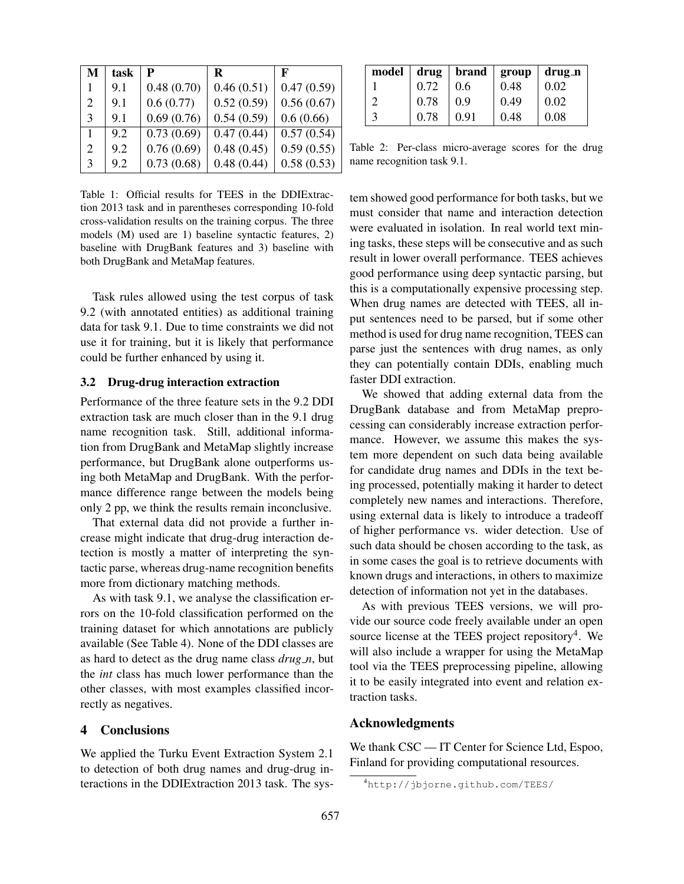| M | task | P          | R          | F          |
|---|------|------------|------------|------------|
|   | 9.1  | 0.48(0.70) | 0.46(0.51) | 0.47(0.59) |
| 2 | 9.1  | 0.6(0.77)  | 0.52(0.59) | 0.56(0.67) |
| 3 | 9.1  | 0.69(0.76) | 0.54(0.59) | 0.6(0.66)  |
| 1 | 9.2  | 0.73(0.69) | 0.47(0.44) | 0.57(0.54) |
| 2 | 9.2  | 0.76(0.69) | 0.48(0.45) | 0.59(0.55) |
| 3 | 9.2  | 0.73(0.68) | 0.48(0.44) | 0.58(0.53) |

Table 1: Official results for TEES in the DDIExtraction 2013 task and in parentheses corresponding 10-fold cross-validation results on the training corpus. The three models (M) used are 1) baseline syntactic features, 2) baseline with DrugBank features and 3) baseline with both DrugBank and MetaMap features.

Task rules allowed using the test corpus of task 9.2 (with annotated entities) as additional training data for task 9.1. Due to time constraints we did not use it for training, but it is likely that performance could be further enhanced by using it.

#### 3.2 Drug-drug interaction extraction

Performance of the three feature sets in the 9.2 DDI extraction task are much closer than in the 9.1 drug name recognition task. Still, additional information from DrugBank and MetaMap slightly increase performance, but DrugBank alone outperforms using both MetaMap and DrugBank. With the performance difference range between the models being only 2 pp, we think the results remain inconclusive.

That external data did not provide a further increase might indicate that drug-drug interaction detection is mostly a matter of interpreting the syntactic parse, whereas drug-name recognition benefits more from dictionary matching methods.

As with task 9.1, we analyse the classification errors on the 10-fold classification performed on the training dataset for which annotations are publicly available (See Table 4). None of the DDI classes are as hard to detect as the drug name class *drug n*, but the *int* class has much lower performance than the other classes, with most examples classified incorrectly as negatives.

#### 4 Conclusions

We applied the Turku Event Extraction System 2.1 to detection of both drug names and drug-drug interactions in the DDIExtraction 2013 task. The sys-

|   |      | $\text{model}$   drug   brand   group   drug_n |      |      |
|---|------|------------------------------------------------|------|------|
|   | 0.72 | 0.6                                            | 0.48 | 0.02 |
| っ | 0.78 | 0.9                                            | 0.49 | 0.02 |
| 3 | 0.78 | 0.91                                           | 0.48 | 0.08 |

Table 2: Per-class micro-average scores for the drug name recognition task 9.1.

tem showed good performance for both tasks, but we must consider that name and interaction detection were evaluated in isolation. In real world text mining tasks, these steps will be consecutive and as such result in lower overall performance. TEES achieves good performance using deep syntactic parsing, but this is a computationally expensive processing step. When drug names are detected with TEES, all input sentences need to be parsed, but if some other method is used for drug name recognition, TEES can parse just the sentences with drug names, as only they can potentially contain DDIs, enabling much faster DDI extraction.

We showed that adding external data from the DrugBank database and from MetaMap preprocessing can considerably increase extraction performance. However, we assume this makes the system more dependent on such data being available for candidate drug names and DDIs in the text being processed, potentially making it harder to detect completely new names and interactions. Therefore, using external data is likely to introduce a tradeoff of higher performance vs. wider detection. Use of such data should be chosen according to the task, as in some cases the goal is to retrieve documents with known drugs and interactions, in others to maximize detection of information not yet in the databases.

As with previous TEES versions, we will provide our source code freely available under an open source license at the TEES project repository<sup>4</sup>. We will also include a wrapper for using the MetaMap tool via the TEES preprocessing pipeline, allowing it to be easily integrated into event and relation extraction tasks.

## Acknowledgments

We thank  $\text{CSC}$  — IT Center for Science Ltd, Espoo, Finland for providing computational resources.

<sup>4</sup>http://jbjorne.github.com/TEES/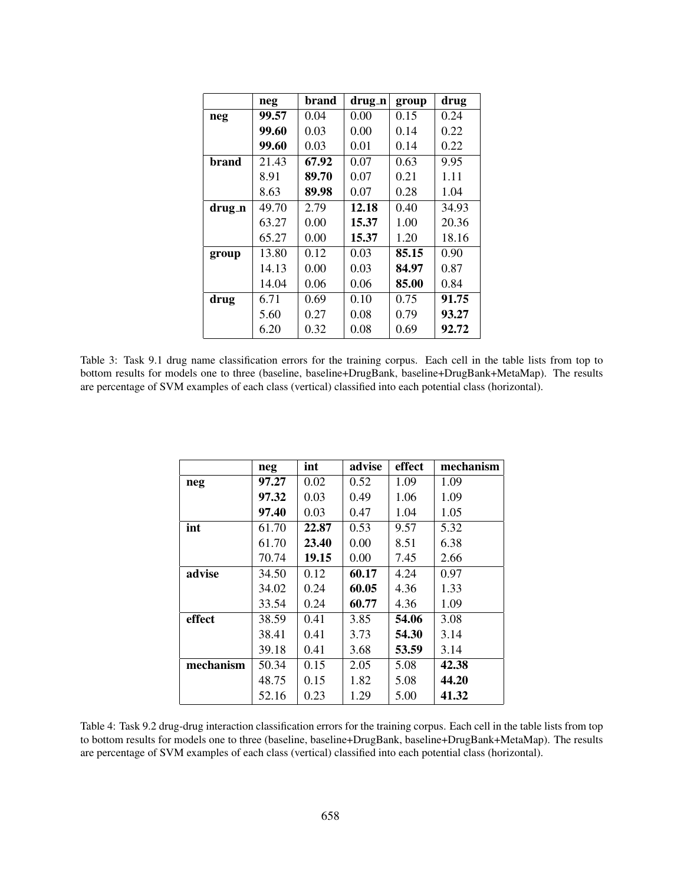|        | neg   | brand | drug_n | group | drug  |
|--------|-------|-------|--------|-------|-------|
| neg    | 99.57 | 0.04  | 0.00   | 0.15  | 0.24  |
|        | 99.60 | 0.03  | 0.00   | 0.14  | 0.22  |
|        | 99.60 | 0.03  | 0.01   | 0.14  | 0.22  |
| brand  | 21.43 | 67.92 | 0.07   | 0.63  | 9.95  |
|        | 8.91  | 89.70 | 0.07   | 0.21  | 1.11  |
|        | 8.63  | 89.98 | 0.07   | 0.28  | 1.04  |
| drug_n | 49.70 | 2.79  | 12.18  | 0.40  | 34.93 |
|        | 63.27 | 0.00  | 15.37  | 1.00  | 20.36 |
|        | 65.27 | 0.00  | 15.37  | 1.20  | 18.16 |
| group  | 13.80 | 0.12  | 0.03   | 85.15 | 0.90  |
|        | 14.13 | 0.00  | 0.03   | 84.97 | 0.87  |
|        | 14.04 | 0.06  | 0.06   | 85.00 | 0.84  |
| drug   | 6.71  | 0.69  | 0.10   | 0.75  | 91.75 |
|        | 5.60  | 0.27  | 0.08   | 0.79  | 93.27 |
|        | 6.20  | 0.32  | 0.08   | 0.69  | 92.72 |

Table 3: Task 9.1 drug name classification errors for the training corpus. Each cell in the table lists from top to bottom results for models one to three (baseline, baseline+DrugBank, baseline+DrugBank+MetaMap). The results are percentage of SVM examples of each class (vertical) classified into each potential class (horizontal).

|           | neg   | int   | advise | effect | mechanism |
|-----------|-------|-------|--------|--------|-----------|
| neg       | 97.27 | 0.02  | 0.52   | 1.09   | 1.09      |
|           | 97.32 | 0.03  | 0.49   | 1.06   | 1.09      |
|           | 97.40 | 0.03  | 0.47   | 1.04   | 1.05      |
| int       | 61.70 | 22.87 | 0.53   | 9.57   | 5.32      |
|           | 61.70 | 23.40 | 0.00   | 8.51   | 6.38      |
|           | 70.74 | 19.15 | 0.00   | 7.45   | 2.66      |
| advise    | 34.50 | 0.12  | 60.17  | 4.24   | 0.97      |
|           | 34.02 | 0.24  | 60.05  | 4.36   | 1.33      |
|           | 33.54 | 0.24  | 60.77  | 4.36   | 1.09      |
| effect    | 38.59 | 0.41  | 3.85   | 54.06  | 3.08      |
|           | 38.41 | 0.41  | 3.73   | 54.30  | 3.14      |
|           | 39.18 | 0.41  | 3.68   | 53.59  | 3.14      |
| mechanism | 50.34 | 0.15  | 2.05   | 5.08   | 42.38     |
|           | 48.75 | 0.15  | 1.82   | 5.08   | 44.20     |
|           | 52.16 | 0.23  | 1.29   | 5.00   | 41.32     |

Table 4: Task 9.2 drug-drug interaction classification errors for the training corpus. Each cell in the table lists from top to bottom results for models one to three (baseline, baseline+DrugBank, baseline+DrugBank+MetaMap). The results are percentage of SVM examples of each class (vertical) classified into each potential class (horizontal).